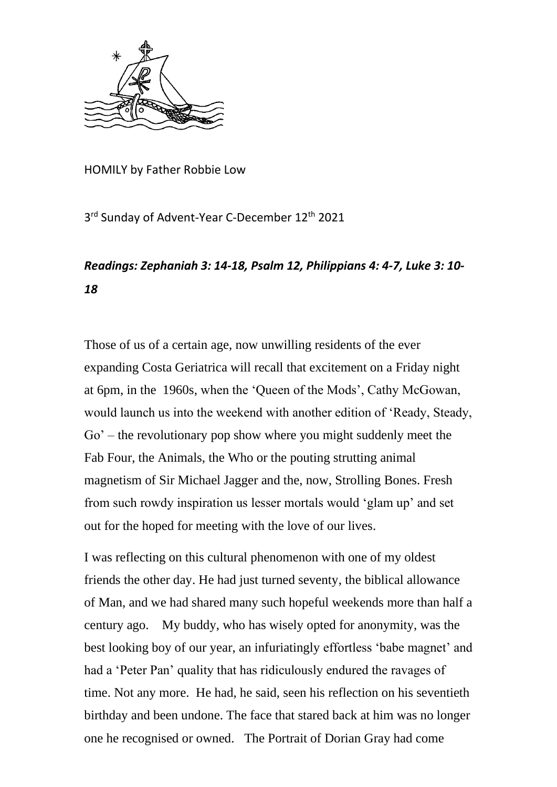

HOMILY by Father Robbie Low

3<sup>rd</sup> Sunday of Advent-Year C-December 12<sup>th</sup> 2021

## *Readings: Zephaniah 3: 14-18, Psalm 12, Philippians 4: 4-7, Luke 3: 10- 18*

Those of us of a certain age, now unwilling residents of the ever expanding Costa Geriatrica will recall that excitement on a Friday night at 6pm, in the 1960s, when the 'Queen of the Mods', Cathy McGowan, would launch us into the weekend with another edition of 'Ready, Steady, Go' – the revolutionary pop show where you might suddenly meet the Fab Four, the Animals, the Who or the pouting strutting animal magnetism of Sir Michael Jagger and the, now, Strolling Bones. Fresh from such rowdy inspiration us lesser mortals would 'glam up' and set out for the hoped for meeting with the love of our lives.

I was reflecting on this cultural phenomenon with one of my oldest friends the other day. He had just turned seventy, the biblical allowance of Man, and we had shared many such hopeful weekends more than half a century ago. My buddy, who has wisely opted for anonymity, was the best looking boy of our year, an infuriatingly effortless 'babe magnet' and had a 'Peter Pan' quality that has ridiculously endured the ravages of time. Not any more. He had, he said, seen his reflection on his seventieth birthday and been undone. The face that stared back at him was no longer one he recognised or owned. The Portrait of Dorian Gray had come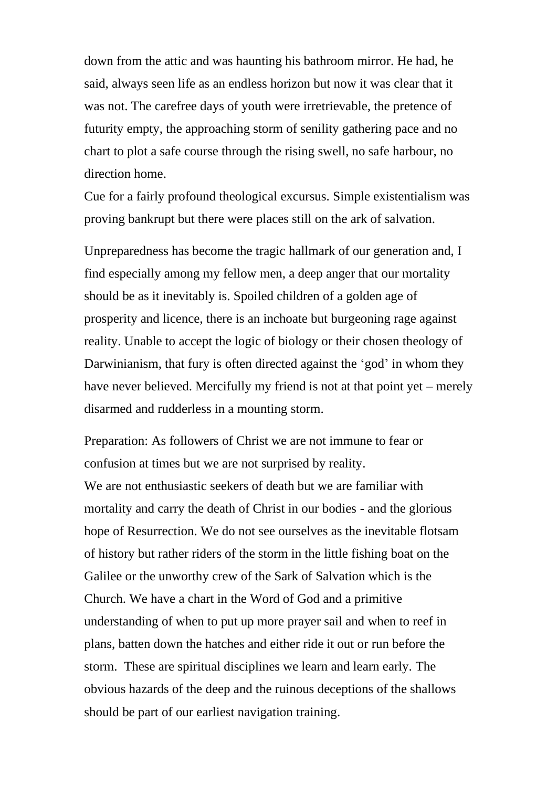down from the attic and was haunting his bathroom mirror. He had, he said, always seen life as an endless horizon but now it was clear that it was not. The carefree days of youth were irretrievable, the pretence of futurity empty, the approaching storm of senility gathering pace and no chart to plot a safe course through the rising swell, no safe harbour, no direction home.

Cue for a fairly profound theological excursus. Simple existentialism was proving bankrupt but there were places still on the ark of salvation.

Unpreparedness has become the tragic hallmark of our generation and, I find especially among my fellow men, a deep anger that our mortality should be as it inevitably is. Spoiled children of a golden age of prosperity and licence, there is an inchoate but burgeoning rage against reality. Unable to accept the logic of biology or their chosen theology of Darwinianism, that fury is often directed against the 'god' in whom they have never believed. Mercifully my friend is not at that point yet – merely disarmed and rudderless in a mounting storm.

Preparation: As followers of Christ we are not immune to fear or confusion at times but we are not surprised by reality.

We are not enthusiastic seekers of death but we are familiar with mortality and carry the death of Christ in our bodies - and the glorious hope of Resurrection. We do not see ourselves as the inevitable flotsam of history but rather riders of the storm in the little fishing boat on the Galilee or the unworthy crew of the Sark of Salvation which is the Church. We have a chart in the Word of God and a primitive understanding of when to put up more prayer sail and when to reef in plans, batten down the hatches and either ride it out or run before the storm. These are spiritual disciplines we learn and learn early. The obvious hazards of the deep and the ruinous deceptions of the shallows should be part of our earliest navigation training.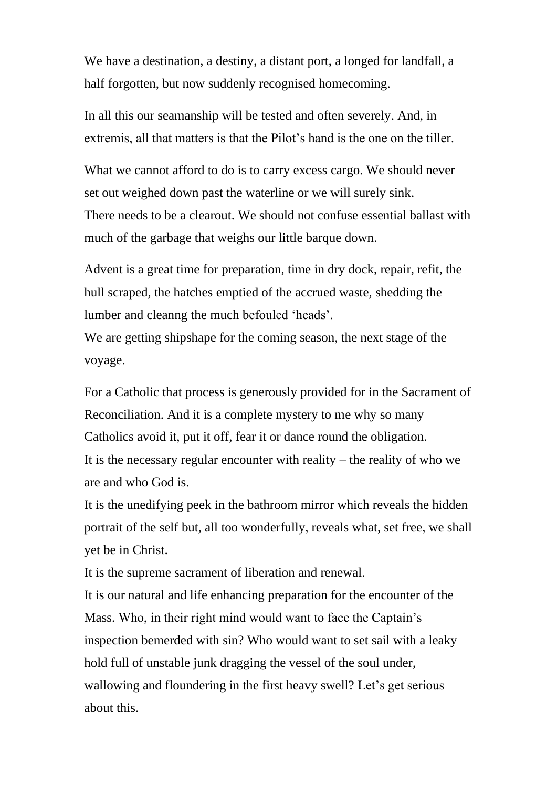We have a destination, a destiny, a distant port, a longed for landfall, a half forgotten, but now suddenly recognised homecoming.

In all this our seamanship will be tested and often severely. And, in extremis, all that matters is that the Pilot's hand is the one on the tiller.

What we cannot afford to do is to carry excess cargo. We should never set out weighed down past the waterline or we will surely sink. There needs to be a clearout. We should not confuse essential ballast with much of the garbage that weighs our little barque down.

Advent is a great time for preparation, time in dry dock, repair, refit, the hull scraped, the hatches emptied of the accrued waste, shedding the lumber and cleanng the much befouled 'heads'.

We are getting shipshape for the coming season, the next stage of the voyage.

For a Catholic that process is generously provided for in the Sacrament of Reconciliation. And it is a complete mystery to me why so many Catholics avoid it, put it off, fear it or dance round the obligation. It is the necessary regular encounter with reality – the reality of who we are and who God is.

It is the unedifying peek in the bathroom mirror which reveals the hidden portrait of the self but, all too wonderfully, reveals what, set free, we shall yet be in Christ.

It is the supreme sacrament of liberation and renewal.

It is our natural and life enhancing preparation for the encounter of the Mass. Who, in their right mind would want to face the Captain's inspection bemerded with sin? Who would want to set sail with a leaky hold full of unstable junk dragging the vessel of the soul under, wallowing and floundering in the first heavy swell? Let's get serious about this.